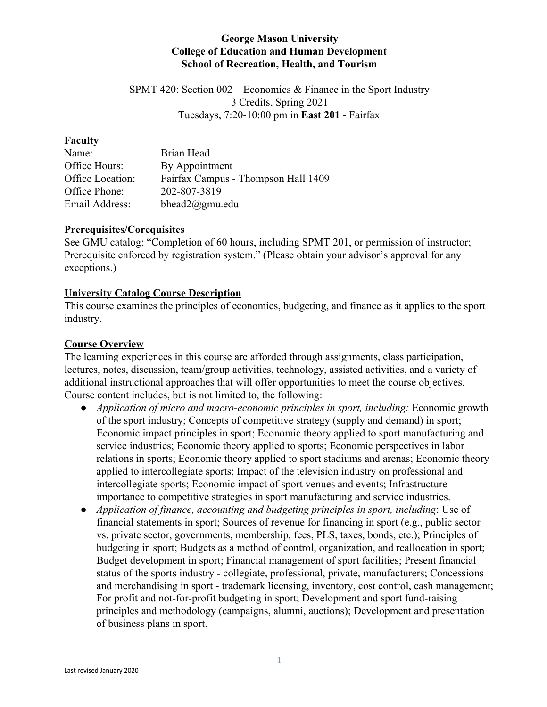## **George Mason University College of Education and Human Development School of Recreation, Health, and Tourism**

SPMT 420: Section 002 – Economics & Finance in the Sport Industry 3 Credits, Spring 2021 Tuesdays, 7:20-10:00 pm in **East 201** - Fairfax

#### **Faculty**

| Name:            | Brian Head                          |
|------------------|-------------------------------------|
| Office Hours:    | By Appointment                      |
| Office Location: | Fairfax Campus - Thompson Hall 1409 |
| Office Phone:    | 202-807-3819                        |
| Email Address:   | bhead $2$ @gmu.edu                  |

#### **Prerequisites/Corequisites**

See GMU catalog: "Completion of 60 hours, including SPMT 201, or permission of instructor; Prerequisite enforced by registration system." (Please obtain your advisor's approval for any exceptions.)

#### **University Catalog Course Description**

This course examines the principles of economics, budgeting, and finance as it applies to the sport industry.

#### **Course Overview**

The learning experiences in this course are afforded through assignments, class participation, lectures, notes, discussion, team/group activities, technology, assisted activities, and a variety of additional instructional approaches that will offer opportunities to meet the course objectives. Course content includes, but is not limited to, the following:

- *Application of micro and macro-economic principles in sport, including:* Economic growth of the sport industry; Concepts of competitive strategy (supply and demand) in sport; Economic impact principles in sport; Economic theory applied to sport manufacturing and service industries; Economic theory applied to sports; Economic perspectives in labor relations in sports; Economic theory applied to sport stadiums and arenas; Economic theory applied to intercollegiate sports; Impact of the television industry on professional and intercollegiate sports; Economic impact of sport venues and events; Infrastructure importance to competitive strategies in sport manufacturing and service industries.
- *Application of finance, accounting and budgeting principles in sport, including*: Use of financial statements in sport; Sources of revenue for financing in sport (e.g., public sector vs. private sector, governments, membership, fees, PLS, taxes, bonds, etc.); Principles of budgeting in sport; Budgets as a method of control, organization, and reallocation in sport; Budget development in sport; Financial management of sport facilities; Present financial status of the sports industry - collegiate, professional, private, manufacturers; Concessions and merchandising in sport - trademark licensing, inventory, cost control, cash management; For profit and not-for-profit budgeting in sport; Development and sport fund-raising principles and methodology (campaigns, alumni, auctions); Development and presentation of business plans in sport.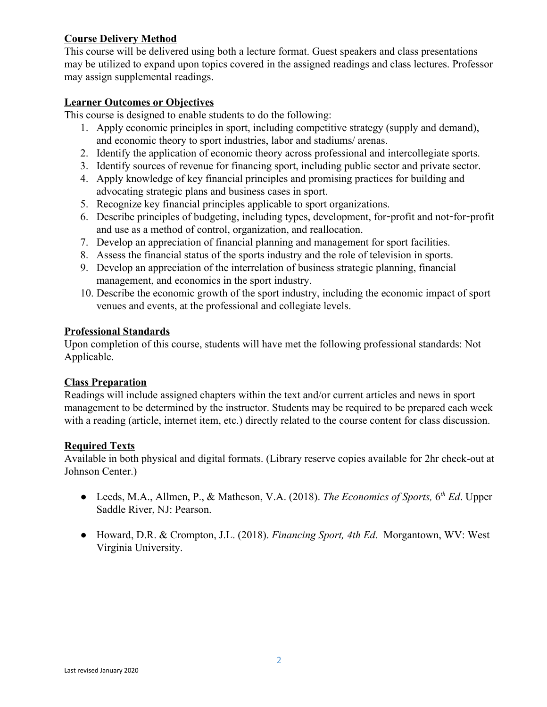# **Course Delivery Method**

This course will be delivered using both a lecture format. Guest speakers and class presentations may be utilized to expand upon topics covered in the assigned readings and class lectures. Professor may assign supplemental readings.

## **Learner Outcomes or Objectives**

This course is designed to enable students to do the following:

- 1. Apply economic principles in sport, including competitive strategy (supply and demand), and economic theory to sport industries, labor and stadiums/ arenas.
- 2. Identify the application of economic theory across professional and intercollegiate sports.
- 3. Identify sources of revenue for financing sport, including public sector and private sector.
- 4. Apply knowledge of key financial principles and promising practices for building and advocating strategic plans and business cases in sport.
- 5. Recognize key financial principles applicable to sport organizations.
- 6. Describe principles of budgeting, including types, development, for-profit and not-for-profit and use as a method of control, organization, and reallocation.
- 7. Develop an appreciation of financial planning and management for sport facilities.
- 8. Assess the financial status of the sports industry and the role of television in sports.
- 9. Develop an appreciation of the interrelation of business strategic planning, financial management, and economics in the sport industry.
- 10. Describe the economic growth of the sport industry, including the economic impact of sport venues and events, at the professional and collegiate levels.

## **Professional Standards**

Upon completion of this course, students will have met the following professional standards: Not Applicable.

#### **Class Preparation**

Readings will include assigned chapters within the text and/or current articles and news in sport management to be determined by the instructor. Students may be required to be prepared each week with a reading (article, internet item, etc.) directly related to the course content for class discussion.

#### **Required Texts**

Available in both physical and digital formats. (Library reserve copies available for 2hr check-out at Johnson Center.)

- Leeds, M.A., Allmen, P., & Matheson, V.A. (2018). *The Economics of Sports*, 6<sup>th</sup> Ed. Upper Saddle River, NJ: Pearson.
- Howard, D.R. & Crompton, J.L. (2018). *Financing Sport, 4th Ed*. Morgantown, WV: West Virginia University.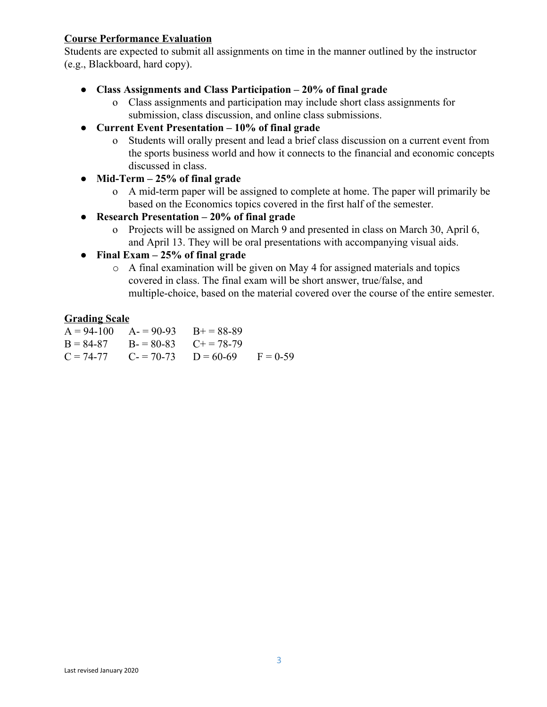# **Course Performance Evaluation**

Students are expected to submit all assignments on time in the manner outlined by the instructor (e.g., Blackboard, hard copy).

- **Class Assignments and Class Participation 20% of final grade**
	- o Class assignments and participation may include short class assignments for submission, class discussion, and online class submissions.
- **● Current Event Presentation 10% of final grade**
	- o Students will orally present and lead a brief class discussion on a current event from the sports business world and how it connects to the financial and economic concepts discussed in class.
- **● Mid-Term 25% of final grade**
	- o A mid-term paper will be assigned to complete at home. The paper will primarily be based on the Economics topics covered in the first half of the semester.
- **● Research Presentation 20% of final grade**
	- o Projects will be assigned on March 9 and presented in class on March 30, April 6, and April 13. They will be oral presentations with accompanying visual aids.
- **● Final Exam 25% of final grade**
	- o A final examination will be given on May 4 for assigned materials and topics covered in class. The final exam will be short answer, true/false, and multiple-choice, based on the material covered over the course of the entire semester.

# **Grading Scale**

| $A = 94-100$ $A = 90-93$ $B = 88-89$  |                                                |  |
|---------------------------------------|------------------------------------------------|--|
| $B = 84-87$ $B = 80-83$ $C_+ = 78-79$ |                                                |  |
|                                       | $C = 74-77$ $C = 70-73$ $D = 60-69$ $F = 0-59$ |  |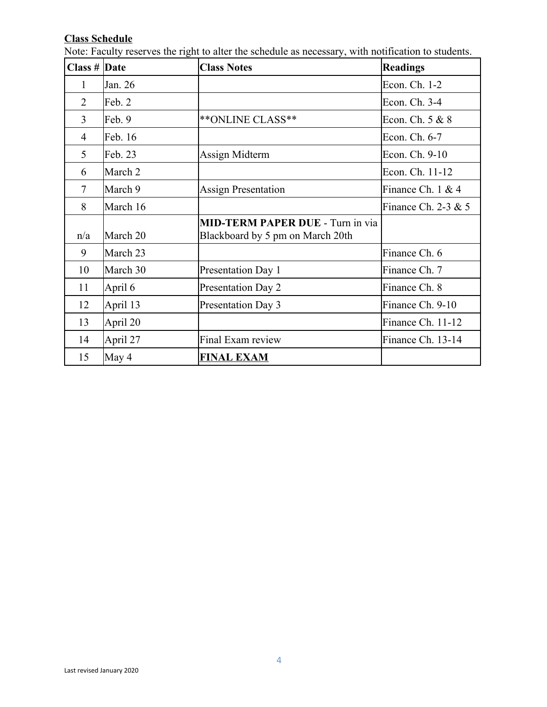## **Class Schedule**

| Class $#$ Date |          | <b>Class Notes</b>                                                          | <b>Readings</b>       |
|----------------|----------|-----------------------------------------------------------------------------|-----------------------|
| 1              | Jan. 26  |                                                                             | Econ. Ch. 1-2         |
| $\overline{2}$ | Feb. 2   |                                                                             | Econ. Ch. 3-4         |
| $\overline{3}$ | Feb. 9   | ** ONLINE CLASS**                                                           | Econ. Ch. 5 & 8       |
| 4              | Feb. 16  |                                                                             | Econ. Ch. 6-7         |
| 5              | Feb. 23  | Assign Midterm                                                              | Econ. Ch. 9-10        |
| 6              | March 2  |                                                                             | Econ. Ch. 11-12       |
| $\tau$         | March 9  | <b>Assign Presentation</b>                                                  | Finance Ch. 1 & 4     |
| 8              | March 16 |                                                                             | Finance Ch. 2-3 $& 5$ |
| n/a            | March 20 | <b>MID-TERM PAPER DUE - Turn in via</b><br>Blackboard by 5 pm on March 20th |                       |
| 9              | March 23 |                                                                             | Finance Ch. 6         |
| 10             | March 30 | Presentation Day 1                                                          | Finance Ch. 7         |
| 11             | April 6  | Presentation Day 2                                                          | Finance Ch. 8         |
| 12             | April 13 | Presentation Day 3                                                          | Finance Ch. 9-10      |
| 13             | April 20 |                                                                             | Finance Ch. 11-12     |
| 14             | April 27 | Final Exam review                                                           | Finance Ch. 13-14     |
| 15             | May 4    | <b>FINAL EXAM</b>                                                           |                       |

Note: Faculty reserves the right to alter the schedule as necessary, with notification to students.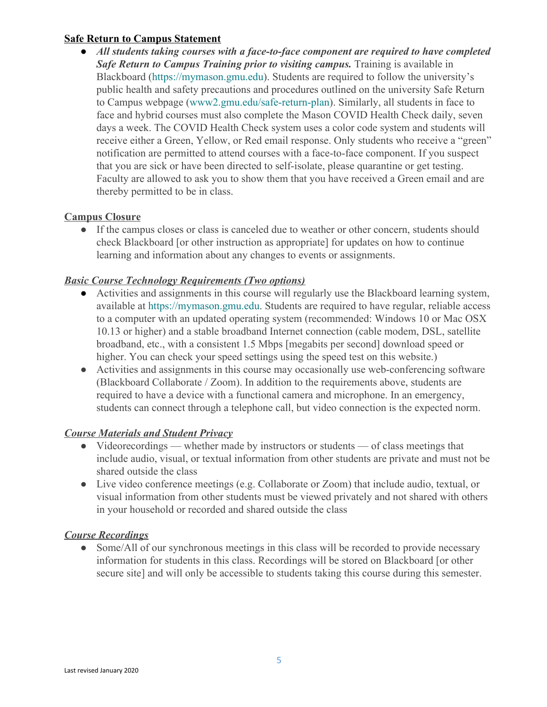## **Safe Return to Campus Statement**

● *All students taking courses with a face-to-face component are required to have completed Safe Return to Campus Training prior to visiting campus.* Training is available in Blackboard [\(https://mymason.gmu.edu\)](https://mymason.gmu.edu/). Students are required to follow the university's public health and safety precautions and procedures outlined on the university Safe Return to Campus webpage [\(www2.gmu.edu/safe-return-plan\)](https://www2.gmu.edu/safe-return-plan). Similarly, all students in face to face and hybrid courses must also complete the Mason COVID Health Check daily, seven days a week. The COVID Health Check system uses a color code system and students will receive either a Green, Yellow, or Red email response. Only students who receive a "green" notification are permitted to attend courses with a face-to-face component. If you suspect that you are sick or have been directed to self-isolate, please quarantine or get testing. Faculty are allowed to ask you to show them that you have received a Green email and are thereby permitted to be in class.

# **Campus Closure**

• If the campus closes or class is canceled due to weather or other concern, students should check Blackboard [or other instruction as appropriate] for updates on how to continue learning and information about any changes to events or assignments.

## *Basic Course Technology Requirements (Two options)*

- Activities and assignments in this course will regularly use the Blackboard learning system, available at [https://mymason.gmu.edu.](https://mymason.gmu.edu/) Students are required to have regular, reliable access to a computer with an updated operating system (recommended: Windows 10 or Mac OSX 10.13 or higher) and a stable broadband Internet connection (cable modem, DSL, satellite broadband, etc., with a consistent 1.5 Mbps [megabits per second] download speed or higher. You can check your speed settings using the speed test on this website.)
- Activities and assignments in this course may occasionally use web-conferencing software (Blackboard Collaborate / Zoom). In addition to the requirements above, students are required to have a device with a functional camera and microphone. In an emergency, students can connect through a telephone call, but video connection is the expected norm.

#### *Course Materials and Student Privacy*

- Videorecordings whether made by instructors or students of class meetings that include audio, visual, or textual information from other students are private and must not be shared outside the class
- Live video conference meetings (e.g. Collaborate or Zoom) that include audio, textual, or visual information from other students must be viewed privately and not shared with others in your household or recorded and shared outside the class

# *Course Recordings*

• Some/All of our synchronous meetings in this class will be recorded to provide necessary information for students in this class. Recordings will be stored on Blackboard [or other secure site] and will only be accessible to students taking this course during this semester.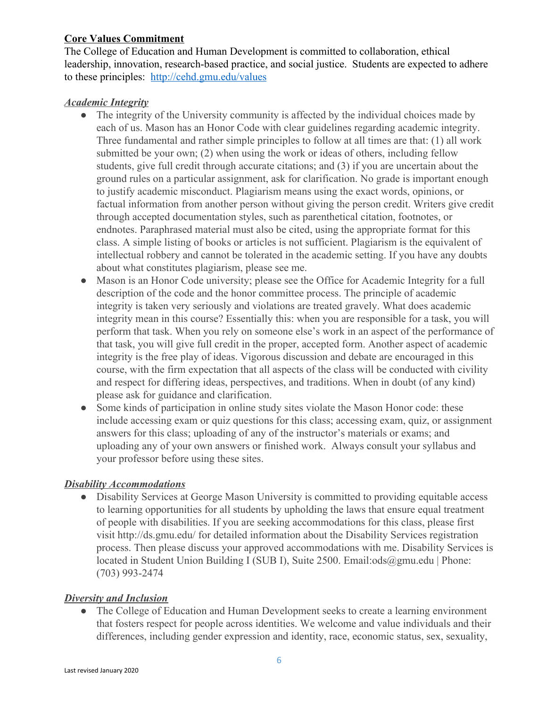# **Core Values Commitment**

The College of Education and Human Development is committed to collaboration, ethical leadership, innovation, research-based practice, and social justice. Students are expected to adhere to these principles: [http://cehd.gmu.edu/values](http://cehd.gmu.edu/values/)

## *Academic Integrity*

- The integrity of the University community is affected by the individual choices made by each of us. Mason has an Honor Code with clear guidelines regarding academic integrity. Three fundamental and rather simple principles to follow at all times are that: (1) all work submitted be your own; (2) when using the work or ideas of others, including fellow students, give full credit through accurate citations; and (3) if you are uncertain about the ground rules on a particular assignment, ask for clarification. No grade is important enough to justify academic misconduct. Plagiarism means using the exact words, opinions, or factual information from another person without giving the person credit. Writers give credit through accepted documentation styles, such as parenthetical citation, footnotes, or endnotes. Paraphrased material must also be cited, using the appropriate format for this class. A simple listing of books or articles is not sufficient. Plagiarism is the equivalent of intellectual robbery and cannot be tolerated in the academic setting. If you have any doubts about what constitutes plagiarism, please see me.
- Mason is an Honor Code university; please see the Office for Academic Integrity for a full description of the code and the honor committee process. The principle of academic integrity is taken very seriously and violations are treated gravely. What does academic integrity mean in this course? Essentially this: when you are responsible for a task, you will perform that task. When you rely on someone else's work in an aspect of the performance of that task, you will give full credit in the proper, accepted form. Another aspect of academic integrity is the free play of ideas. Vigorous discussion and debate are encouraged in this course, with the firm expectation that all aspects of the class will be conducted with civility and respect for differing ideas, perspectives, and traditions. When in doubt (of any kind) please ask for guidance and clarification.
- Some kinds of participation in online study sites violate the Mason Honor code: these include accessing exam or quiz questions for this class; accessing exam, quiz, or assignment answers for this class; uploading of any of the instructor's materials or exams; and uploading any of your own answers or finished work. Always consult your syllabus and your professor before using these sites.

# *Disability Accommodations*

● Disability Services at George Mason University is committed to providing equitable access to learning opportunities for all students by upholding the laws that ensure equal treatment of people with disabilities. If you are seeking accommodations for this class, please first visit http://ds.gmu.edu/ for detailed information about the Disability Services registration process. Then please discuss your approved accommodations with me. Disability Services is located in Student Union Building I (SUB I), Suite 2500. Email:ods@gmu.edu | Phone: (703) 993-2474

# *Diversity and Inclusion*

• The College of Education and Human Development seeks to create a learning environment that fosters respect for people across identities. We welcome and value individuals and their differences, including gender expression and identity, race, economic status, sex, sexuality,